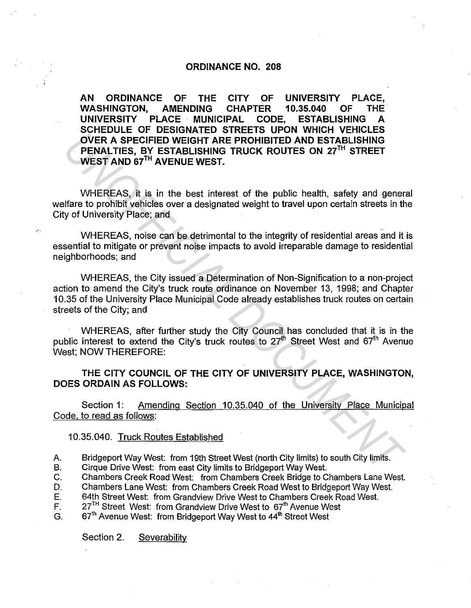## ORDINANCE NO. 208

AN ORDINANCE OF THE CITY OF UNIVERSITY PLACE, WASHINGTON, AMENDING CHAPTER 10.35.040 OF THE UNIVERSITY PLACE MUNICIPAL CODE, ESTABLISHING A SCHEDULE OF DESIGNATED STREETS UPON WHICH VEHICLES OVER A SPECIFIED WEIGHT ARE PROHIBITED AND ESTABLISHING PENALTIES, BY ESTABLISHING TRUCK ROUTES ON 27TH STREET WEST AND 67TH AVENUE WEST.

WHEREAS, it is in the best interest of the public health, safety and general welfare to prohibit vehicles over a designated weight to travel upon certain streets in the City of University Place; and

WHEREAS, noise can be detrimental to the integrity of residential areas and it is essential to mitigate or prevent noise impacts to avoid irreparable damage to residential neighborhoods; and

WHEREAS, the City issued a Determination of Non-Signification to a non-project action to amend the City's truck route ordinance on November 13, 1998; and Chapter 10.35 of the University Place Municipal Code already establishes truck routes on certain streets of the City; and **EXERCISE SOMETAINT CONSULTS AND ESTABLISHING**<br> **UNIFICIAL STEAD WEIGHT ARE PROHIBITED AND ESTABLISHING**<br> **PERALTIES, BY ESTABLISHING TRUCK ROUTES ON 27<sup>TH</sup> STREET<br>
WEEREAS, it is in the best interest of the public health,** 

WHEREAS, after further study the City Council has concluded that it is in the public interest to extend the City's truck routes to  $27<sup>th</sup>$  Street West and  $67<sup>th</sup>$  Avenue West; NOW THEREFORE:

## THE CITY COUNCIL OF THE CITY OF UNIVERSITY PLACE, WASHINGTON, DOES ORDAIN AS FOLLOWS:

Section 1: Amending Section 10.35.040 of the University Place Municipal Code, to read as follows:

## 10.35.040. Truck Routes Established

- A. Bridgeport Way West: from 19th Street West (north City limits) to south City limits.
- B. Cirque Drive West: from east City limits to Bridgeport Way West.
- C. Chambers Creek Road West: from Chambers Creek Bridge to Chambers Lane West.
- D. Chambers Lane West: from Chambers Creek Road West to Bridgeport Way West.
- E. 64th Street West: from Grandview Drive West to Chambers Creek Road West.
- F.  $27<sup>TH</sup>$  Street West: from Grandview Drive West to  $67<sup>th</sup>$  Avenue West
- G. 67<sup>th</sup> Avenue West: from Bridgeport Way West to 44<sup>th</sup> Street West

Section 2. Severability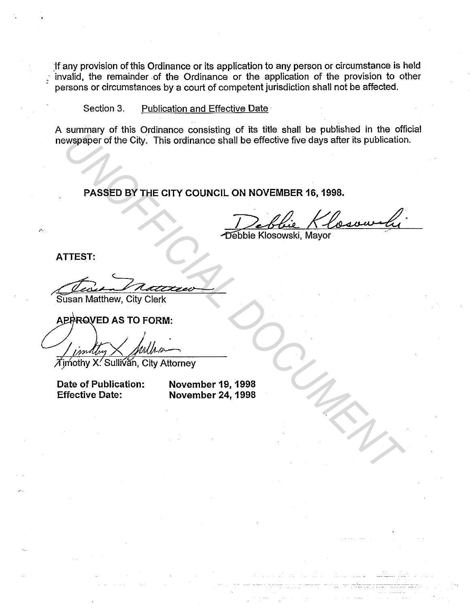Jf any provision of this Ordinance or its application to any person or circumstance is held ·· invalid, the remainder .of the Ordinance or the application of the provision to other persons or circumstances by a court of competent jurisdiction shall not be affected.

Section 3. Publication and Effective Date

A summary of this Ordinance consisting of its title shall be published in the official newspaper of the City. This ordinance shall be effective five days after its publication. UNIVERSITY OF ALL OTHER CITY COUNCIL ON NOVEMBER 16, 1998.<br>
PASSED BY THE CITY COUNCIL ON NOVEMBER 16, 1998.<br>
PASSED BY THE CITY COUNCIL ON NOVEMBER 16, 1998.<br>
TOBIble Klosowski, Mayor<br>
USER TIEST:<br>
USER MANUSCRIPTION AS T

**PASSED BY THE CITY COUNCIL ON NOVEMBER 16, 1998.** 

Debbie Klosowski, Mayor

**ATTEST:** 

*...* a~

Susan Matthew, City Clerk

 $\overline{\mathcal{A}}$ imothy X. Sullivan, City Attorney

**Date of Publication: Effective Date:** 

**November 19, 1998 November 24, 1998**